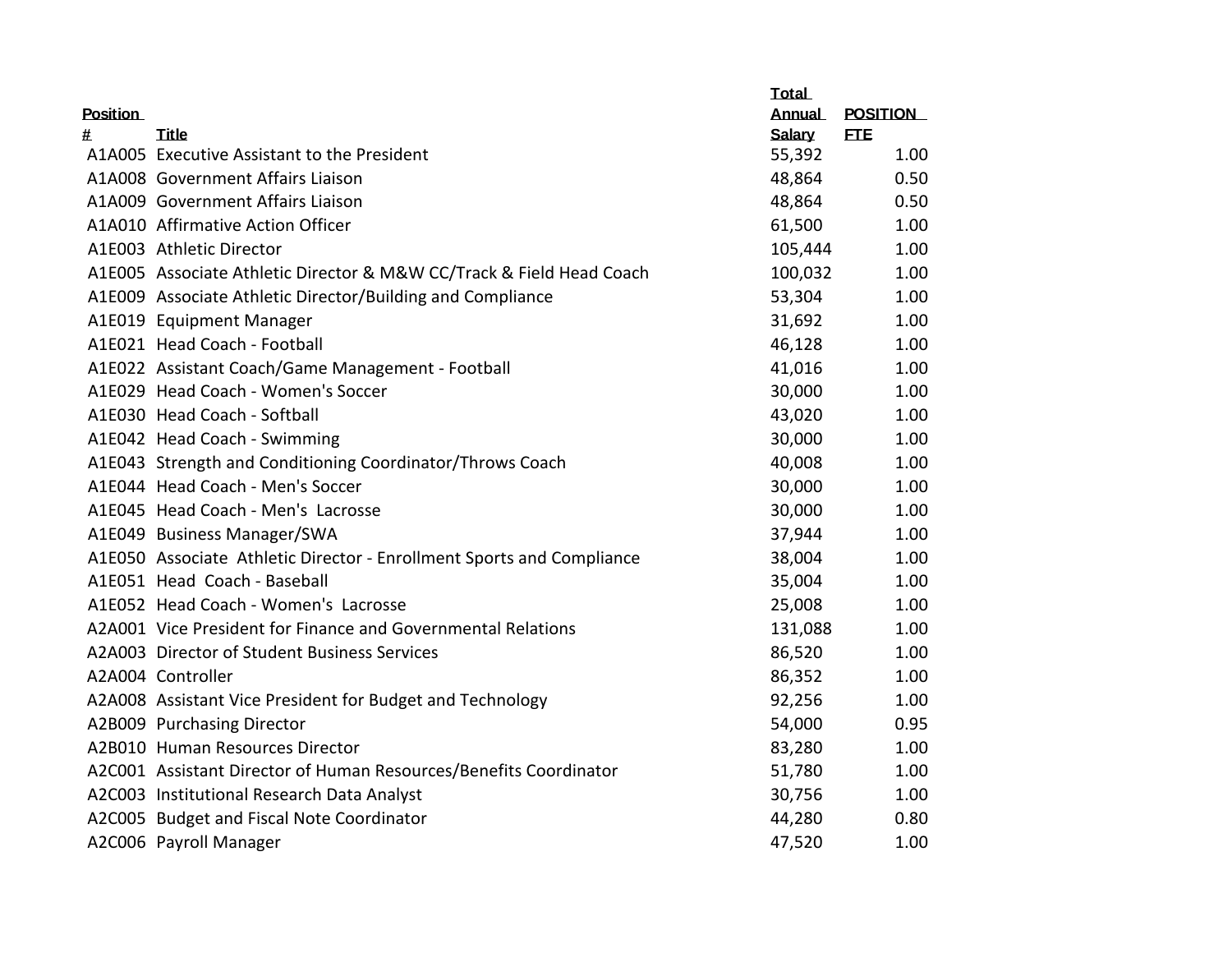|                 |                                                                       | <b>Total</b>  |                 |
|-----------------|-----------------------------------------------------------------------|---------------|-----------------|
| <b>Position</b> |                                                                       | <b>Annual</b> | <b>POSITION</b> |
| #               | Title                                                                 | Salary        | <b>ETE</b>      |
|                 | A1A005 Executive Assistant to the President                           | 55,392        | 1.00            |
|                 | A1A008 Government Affairs Liaison                                     | 48,864        | 0.50            |
|                 | A1A009 Government Affairs Liaison                                     | 48,864        | 0.50            |
|                 | A1A010 Affirmative Action Officer                                     | 61,500        | 1.00            |
|                 | A1E003 Athletic Director                                              | 105,444       | 1.00            |
|                 | A1E005 Associate Athletic Director & M&W CC/Track & Field Head Coach  | 100,032       | 1.00            |
|                 | A1E009 Associate Athletic Director/Building and Compliance            | 53,304        | 1.00            |
|                 | A1E019 Equipment Manager                                              | 31,692        | 1.00            |
|                 | A1E021 Head Coach - Football                                          | 46,128        | 1.00            |
|                 | A1E022 Assistant Coach/Game Management - Football                     | 41,016        | 1.00            |
|                 | A1E029 Head Coach - Women's Soccer                                    | 30,000        | 1.00            |
|                 | A1E030 Head Coach - Softball                                          | 43,020        | 1.00            |
|                 | A1E042 Head Coach - Swimming                                          | 30,000        | 1.00            |
|                 | A1E043 Strength and Conditioning Coordinator/Throws Coach             | 40,008        | 1.00            |
|                 | A1E044 Head Coach - Men's Soccer                                      | 30,000        | 1.00            |
|                 | A1E045 Head Coach - Men's Lacrosse                                    | 30,000        | 1.00            |
|                 | A1E049 Business Manager/SWA                                           | 37,944        | 1.00            |
|                 | A1E050 Associate Athletic Director - Enrollment Sports and Compliance | 38,004        | 1.00            |
|                 | A1E051 Head Coach - Baseball                                          | 35,004        | 1.00            |
|                 | A1E052 Head Coach - Women's Lacrosse                                  | 25,008        | 1.00            |
|                 | A2A001 Vice President for Finance and Governmental Relations          | 131,088       | 1.00            |
|                 | A2A003 Director of Student Business Services                          | 86,520        | 1.00            |
|                 | A2A004 Controller                                                     | 86,352        | 1.00            |
|                 | A2A008 Assistant Vice President for Budget and Technology             | 92,256        | 1.00            |
|                 | A2B009 Purchasing Director                                            | 54,000        | 0.95            |
|                 | A2B010 Human Resources Director                                       | 83,280        | 1.00            |
|                 | A2C001 Assistant Director of Human Resources/Benefits Coordinator     | 51,780        | 1.00            |
|                 | A2C003 Institutional Research Data Analyst                            | 30,756        | 1.00            |
|                 | A2C005 Budget and Fiscal Note Coordinator                             | 44,280        | 0.80            |
|                 | A2C006 Payroll Manager                                                | 47,520        | 1.00            |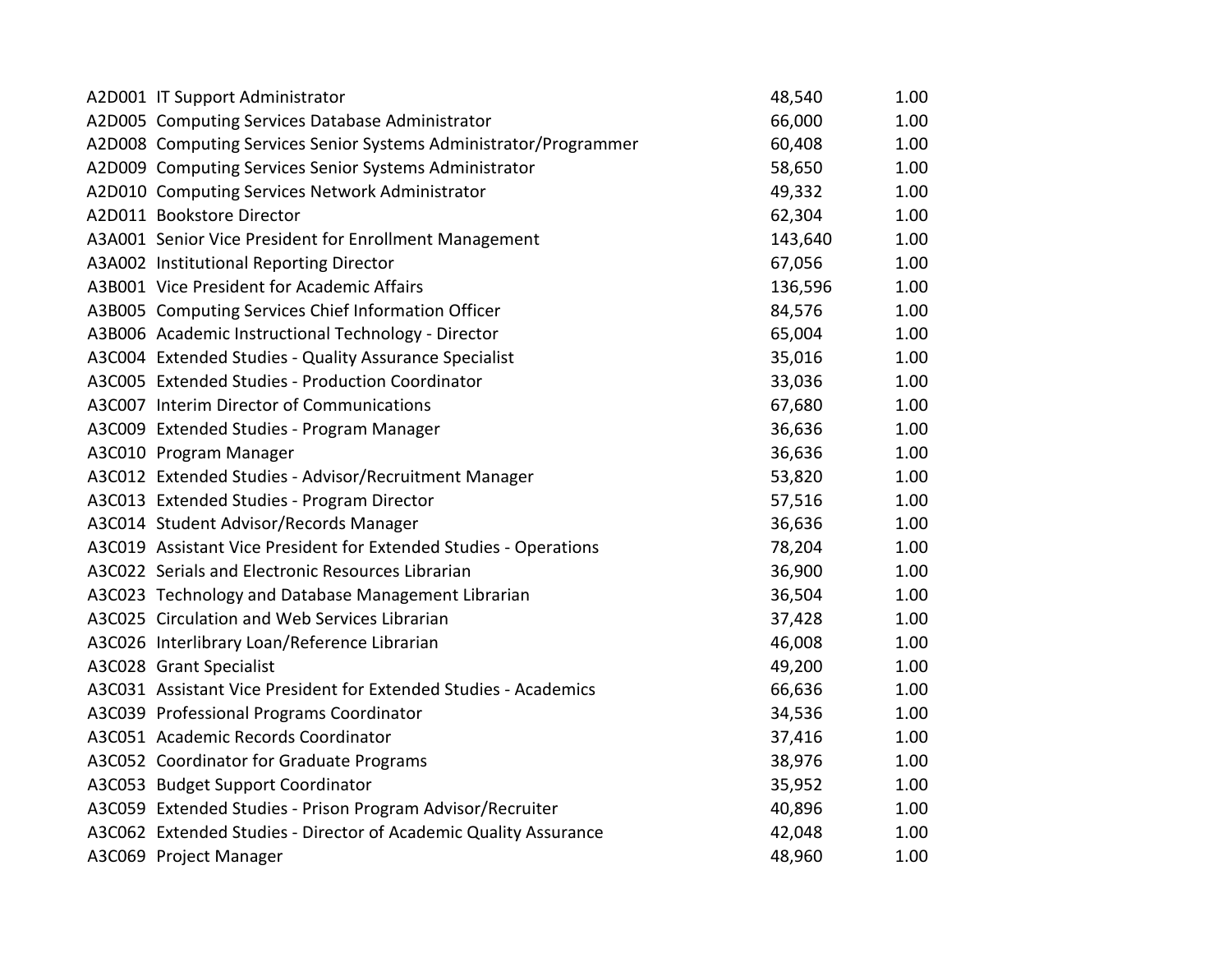| A2D001 IT Support Administrator                                   | 48,540  | 1.00 |
|-------------------------------------------------------------------|---------|------|
| A2D005 Computing Services Database Administrator                  | 66,000  | 1.00 |
| A2D008 Computing Services Senior Systems Administrator/Programmer | 60,408  | 1.00 |
| A2D009 Computing Services Senior Systems Administrator            | 58,650  | 1.00 |
| A2D010 Computing Services Network Administrator                   | 49,332  | 1.00 |
| A2D011 Bookstore Director                                         | 62,304  | 1.00 |
| A3A001 Senior Vice President for Enrollment Management            | 143,640 | 1.00 |
| A3A002 Institutional Reporting Director                           | 67,056  | 1.00 |
| A3B001 Vice President for Academic Affairs                        | 136,596 | 1.00 |
| A3B005 Computing Services Chief Information Officer               | 84,576  | 1.00 |
| A3B006 Academic Instructional Technology - Director               | 65,004  | 1.00 |
| A3C004 Extended Studies - Quality Assurance Specialist            | 35,016  | 1.00 |
| A3C005 Extended Studies - Production Coordinator                  | 33,036  | 1.00 |
| A3C007 Interim Director of Communications                         | 67,680  | 1.00 |
| A3C009 Extended Studies - Program Manager                         | 36,636  | 1.00 |
| A3C010 Program Manager                                            | 36,636  | 1.00 |
| A3C012 Extended Studies - Advisor/Recruitment Manager             | 53,820  | 1.00 |
| A3C013 Extended Studies - Program Director                        | 57,516  | 1.00 |
| A3C014 Student Advisor/Records Manager                            | 36,636  | 1.00 |
| A3C019 Assistant Vice President for Extended Studies - Operations | 78,204  | 1.00 |
| A3C022 Serials and Electronic Resources Librarian                 | 36,900  | 1.00 |
| A3C023 Technology and Database Management Librarian               | 36,504  | 1.00 |
| A3C025 Circulation and Web Services Librarian                     | 37,428  | 1.00 |
| A3C026 Interlibrary Loan/Reference Librarian                      | 46,008  | 1.00 |
| A3C028 Grant Specialist                                           | 49,200  | 1.00 |
| A3C031 Assistant Vice President for Extended Studies - Academics  | 66,636  | 1.00 |
| A3C039 Professional Programs Coordinator                          | 34,536  | 1.00 |
| A3C051 Academic Records Coordinator                               | 37,416  | 1.00 |
| A3C052 Coordinator for Graduate Programs                          | 38,976  | 1.00 |
| A3C053 Budget Support Coordinator                                 | 35,952  | 1.00 |
| A3C059 Extended Studies - Prison Program Advisor/Recruiter        | 40,896  | 1.00 |
| A3C062 Extended Studies - Director of Academic Quality Assurance  | 42,048  | 1.00 |
| A3C069 Project Manager                                            | 48,960  | 1.00 |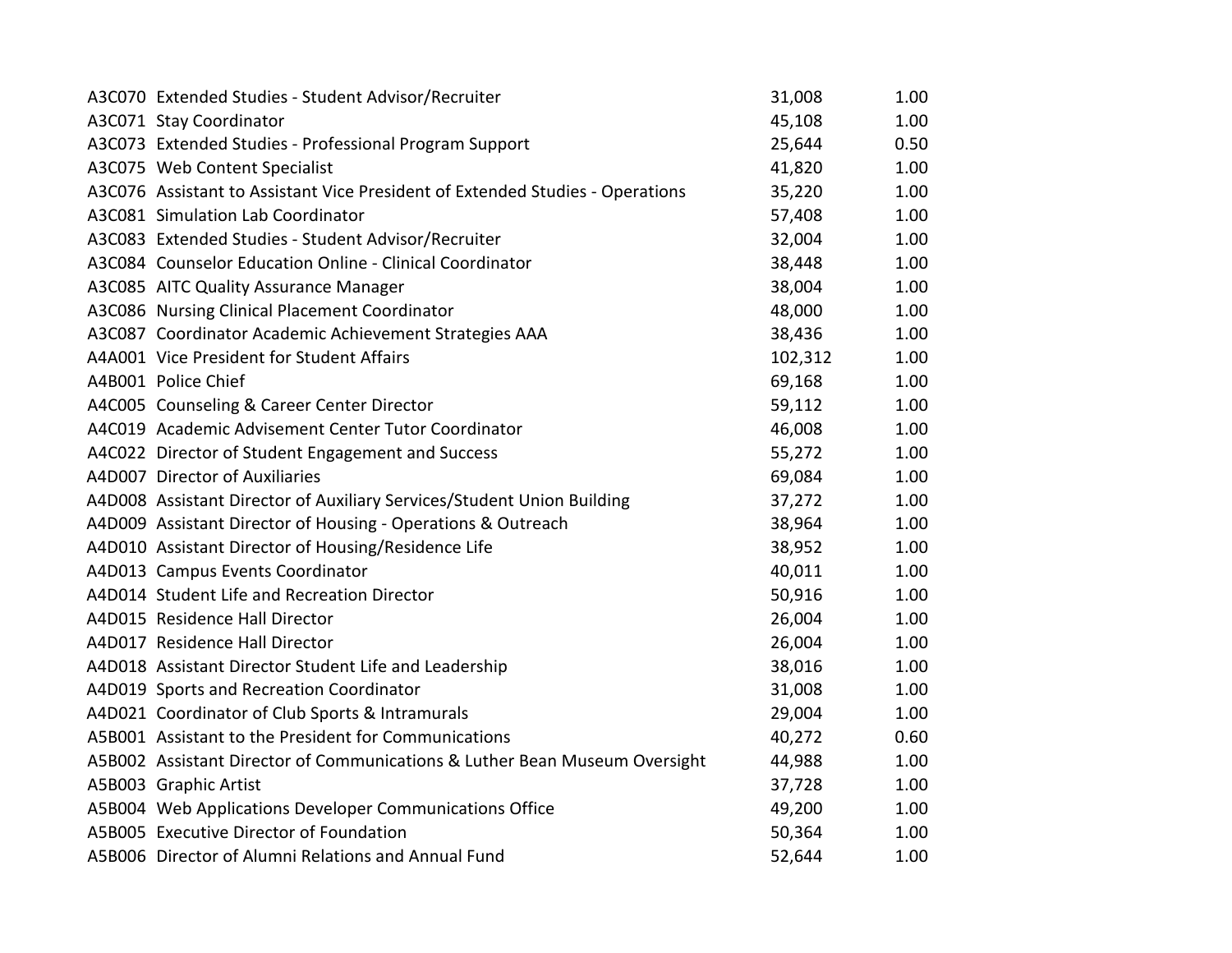| A3C070 Extended Studies - Student Advisor/Recruiter                           | 31,008  | 1.00 |
|-------------------------------------------------------------------------------|---------|------|
| A3C071 Stay Coordinator                                                       | 45,108  | 1.00 |
| A3C073 Extended Studies - Professional Program Support                        | 25,644  | 0.50 |
| A3C075 Web Content Specialist                                                 | 41,820  | 1.00 |
| A3C076 Assistant to Assistant Vice President of Extended Studies - Operations | 35,220  | 1.00 |
| A3C081 Simulation Lab Coordinator                                             | 57,408  | 1.00 |
| A3C083 Extended Studies - Student Advisor/Recruiter                           | 32,004  | 1.00 |
| A3C084 Counselor Education Online - Clinical Coordinator                      | 38,448  | 1.00 |
| A3C085 AITC Quality Assurance Manager                                         | 38,004  | 1.00 |
| A3C086 Nursing Clinical Placement Coordinator                                 | 48,000  | 1.00 |
| A3C087 Coordinator Academic Achievement Strategies AAA                        | 38,436  | 1.00 |
| A4A001 Vice President for Student Affairs                                     | 102,312 | 1.00 |
| A4B001 Police Chief                                                           | 69,168  | 1.00 |
| A4C005 Counseling & Career Center Director                                    | 59,112  | 1.00 |
| A4C019 Academic Advisement Center Tutor Coordinator                           | 46,008  | 1.00 |
| A4C022 Director of Student Engagement and Success                             | 55,272  | 1.00 |
| A4D007 Director of Auxiliaries                                                | 69,084  | 1.00 |
| A4D008 Assistant Director of Auxiliary Services/Student Union Building        | 37,272  | 1.00 |
| A4D009 Assistant Director of Housing - Operations & Outreach                  | 38,964  | 1.00 |
| A4D010 Assistant Director of Housing/Residence Life                           | 38,952  | 1.00 |
| A4D013 Campus Events Coordinator                                              | 40,011  | 1.00 |
| A4D014 Student Life and Recreation Director                                   | 50,916  | 1.00 |
| A4D015 Residence Hall Director                                                | 26,004  | 1.00 |
| A4D017 Residence Hall Director                                                | 26,004  | 1.00 |
| A4D018 Assistant Director Student Life and Leadership                         | 38,016  | 1.00 |
| A4D019 Sports and Recreation Coordinator                                      | 31,008  | 1.00 |
| A4D021 Coordinator of Club Sports & Intramurals                               | 29,004  | 1.00 |
| A5B001 Assistant to the President for Communications                          | 40,272  | 0.60 |
| A5B002 Assistant Director of Communications & Luther Bean Museum Oversight    | 44,988  | 1.00 |
| A5B003 Graphic Artist                                                         | 37,728  | 1.00 |
| A5B004 Web Applications Developer Communications Office                       | 49,200  | 1.00 |
| A5B005 Executive Director of Foundation                                       | 50,364  | 1.00 |
| A5B006 Director of Alumni Relations and Annual Fund                           | 52,644  | 1.00 |